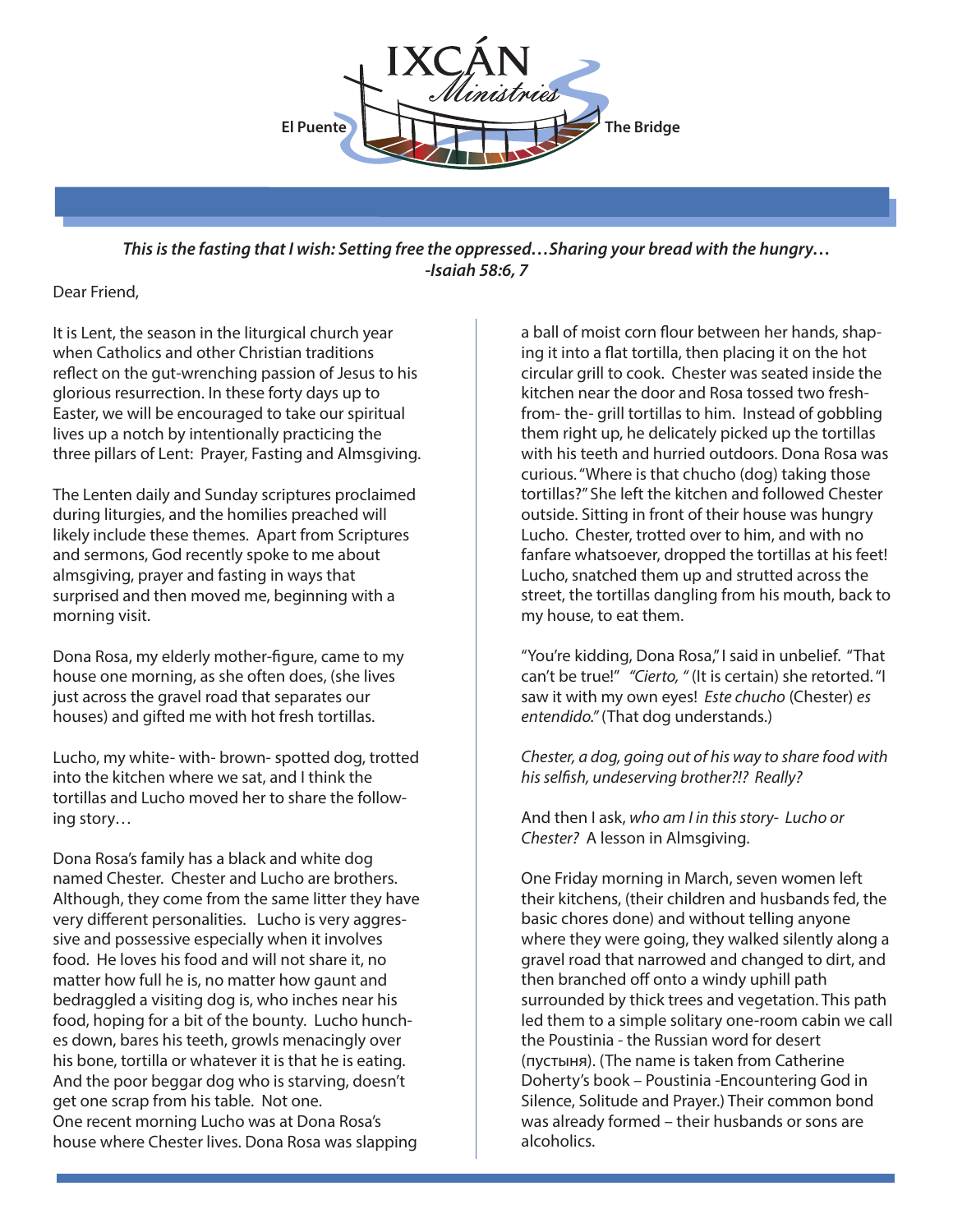

*This is the fasting that I wish: Setting free the oppressed…Sharing your bread with the hungry… -Isaiah 58:6, 7*

## Dear Friend,

It is Lent, the season in the liturgical church year when Catholics and other Christian traditions reflect on the gut-wrenching passion of Jesus to his glorious resurrection. In these forty days up to Easter, we will be encouraged to take our spiritual lives up a notch by intentionally practicing the three pillars of Lent: Prayer, Fasting and Almsgiving.

The Lenten daily and Sunday scriptures proclaimed during liturgies, and the homilies preached will likely include these themes. Apart from Scriptures and sermons, God recently spoke to me about almsgiving, prayer and fasting in ways that surprised and then moved me, beginning with a morning visit.

Dona Rosa, my elderly mother-figure, came to my house one morning, as she often does, (she lives just across the gravel road that separates our houses) and gifted me with hot fresh tortillas.

Lucho, my white- with- brown- spotted dog, trotted into the kitchen where we sat, and I think the tortillas and Lucho moved her to share the following story…

Dona Rosa's family has a black and white dog named Chester. Chester and Lucho are brothers. Although, they come from the same litter they have very different personalities. Lucho is very aggressive and possessive especially when it involves food. He loves his food and will not share it, no matter how full he is, no matter how gaunt and bedraggled a visiting dog is, who inches near his food, hoping for a bit of the bounty. Lucho hunches down, bares his teeth, growls menacingly over his bone, tortilla or whatever it is that he is eating. And the poor beggar dog who is starving, doesn't get one scrap from his table. Not one. One recent morning Lucho was at Dona Rosa's house where Chester lives. Dona Rosa was slapping

a ball of moist corn flour between her hands, shaping it into a flat tortilla, then placing it on the hot circular grill to cook. Chester was seated inside the kitchen near the door and Rosa tossed two freshfrom- the- grill tortillas to him. Instead of gobbling them right up, he delicately picked up the tortillas with his teeth and hurried outdoors. Dona Rosa was curious. "Where is that chucho (dog) taking those tortillas?" She left the kitchen and followed Chester outside. Sitting in front of their house was hungry Lucho. Chester, trotted over to him, and with no fanfare whatsoever, dropped the tortillas at his feet! Lucho, snatched them up and strutted across the street, the tortillas dangling from his mouth, back to my house, to eat them.

"You're kidding, Dona Rosa," I said in unbelief. "That can't be true!" *"Cierto, "* (It is certain) she retorted. "I saw it with my own eyes! *Este chucho* (Chester) *es entendido."* (That dog understands.)

*Chester, a dog, going out of his way to share food with*  his selfish, undeserving brother?!? Really?

And then I ask, *who am I in this story- Lucho or Chester?* A lesson in Almsgiving.

One Friday morning in March, seven women left their kitchens, (their children and husbands fed, the basic chores done) and without telling anyone where they were going, they walked silently along a gravel road that narrowed and changed to dirt, and then branched off onto a windy uphill path surrounded by thick trees and vegetation. This path led them to a simple solitary one-room cabin we call the Poustinia - the Russian word for desert (пустыня). (The name is taken from Catherine Doherty's book – Poustinia -Encountering God in Silence, Solitude and Prayer.) Their common bond was already formed – their husbands or sons are alcoholics.